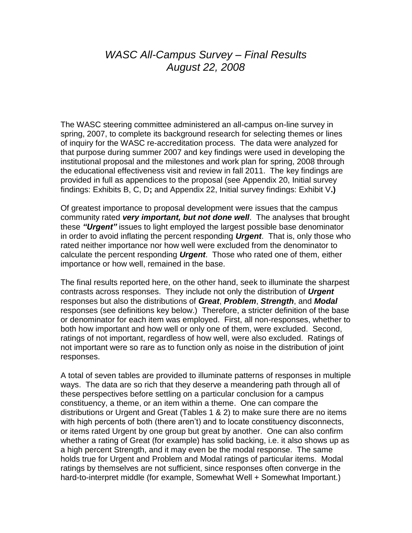## *WASC All-Campus Survey – Final Results August 22, 2008*

The WASC steering committee administered an all-campus on-line survey in spring, 2007, to complete its background research for selecting themes or lines of inquiry for the WASC re-accreditation process. The data were analyzed for that purpose during summer 2007 and key findings were used in developing the institutional proposal and the milestones and work plan for spring, 2008 through the educational effectiveness visit and review in fall 2011. The key findings are provided in full as appendices to the proposal (see Appendix 20, [Initial survey](http://www.fullerton.edu/wasc/appendices/pdf/20-Initial_Survey_Findings_Exhibits_B-C-D.pdf)  [findings: Exhibits B, C, D](http://www.fullerton.edu/wasc/appendices/pdf/20-Initial_Survey_Findings_Exhibits_B-C-D.pdf)**;** and Appendix 22, [Initial survey findings: Exhibit V](http://www.fullerton.edu/wasc/appendices/pdf/22-Survey_Findings-Exhibit_V.pdf)**.)**

Of greatest importance to proposal development were issues that the campus community rated *very important, but not done well*. The analyses that brought these *"Urgent"* issues to light employed the largest possible base denominator in order to avoid inflating the percent responding *Urgent*. That is, only those who rated neither importance nor how well were excluded from the denominator to calculate the percent responding *Urgent*. Those who rated one of them, either importance or how well, remained in the base.

The final results reported here, on the other hand, seek to illuminate the sharpest contrasts across responses. They include not only the distribution of *Urgent*  responses but also the distributions of *Great*, *Problem*, *Strength*, and *Modal* responses (see definitions key below.) Therefore, a stricter definition of the base or denominator for each item was employed. First, all non-responses, whether to both how important and how well or only one of them, were excluded. Second, ratings of not important, regardless of how well, were also excluded. Ratings of not important were so rare as to function only as noise in the distribution of joint responses.

A total of seven tables are provided to illuminate patterns of responses in multiple ways. The data are so rich that they deserve a meandering path through all of these perspectives before settling on a particular conclusion for a campus constituency, a theme, or an item within a theme. One can compare the distributions or Urgent and Great (Tables 1 & 2) to make sure there are no items with high percents of both (there aren't) and to locate constituency disconnects, or items rated Urgent by one group but great by another. One can also confirm whether a rating of Great (for example) has solid backing, i.e. it also shows up as a high percent Strength, and it may even be the modal response. The same holds true for Urgent and Problem and Modal ratings of particular items. Modal ratings by themselves are not sufficient, since responses often converge in the hard-to-interpret middle (for example, Somewhat Well + Somewhat Important.)